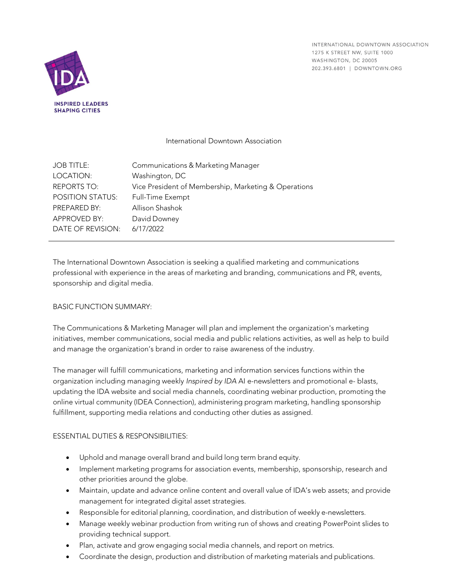INTERNATIONAL DOWNTOWN ASSOCIATION 1275 K STREET NW, SUITE 1000 WASHINGTON, DC 20005 202.393.6801 | DOWNTOWN.ORG



## International Downtown Association

| <b>JOB TITLE:</b>       | Communications & Marketing Manager                   |
|-------------------------|------------------------------------------------------|
| LOCATION:               | Washington, DC                                       |
| <b>REPORTS TO:</b>      | Vice President of Membership, Marketing & Operations |
| <b>POSITION STATUS:</b> | Full-Time Exempt                                     |
| PREPARED BY:            | Allison Shashok                                      |
| APPROVED BY:            | David Downey                                         |
| DATE OF REVISION:       | 6/17/2022                                            |

The International Downtown Association is seeking a qualified marketing and communications professional with experience in the areas of marketing and branding, communications and PR, events, sponsorship and digital media.

### BASIC FUNCTION SUMMARY:

The Communications & Marketing Manager will plan and implement the organization's marketing initiatives, member communications, social media and public relations activities, as well as help to build and manage the organization's brand in order to raise awareness of the industry.

The manager will fulfill communications, marketing and information services functions within the organization including managing weekly *Inspired by IDA* AI e-newsletters and promotional e- blasts, updating the IDA website and social media channels, coordinating webinar production, promoting the online virtual community (IDEA Connection), administering program marketing, handling sponsorship fulfillment, supporting media relations and conducting other duties as assigned.

# ESSENTIAL DUTIES & RESPONSIBILITIES:

- Uphold and manage overall brand and build long term brand equity.
- Implement marketing programs for association events, membership, sponsorship, research and other priorities around the globe.
- Maintain, update and advance online content and overall value of IDA's web assets; and provide management for integrated digital asset strategies.
- Responsible for editorial planning, coordination, and distribution of weekly e-newsletters.
- Manage weekly webinar production from writing run of shows and creating PowerPoint slides to providing technical support.
- Plan, activate and grow engaging social media channels, and report on metrics.
- Coordinate the design, production and distribution of marketing materials and publications.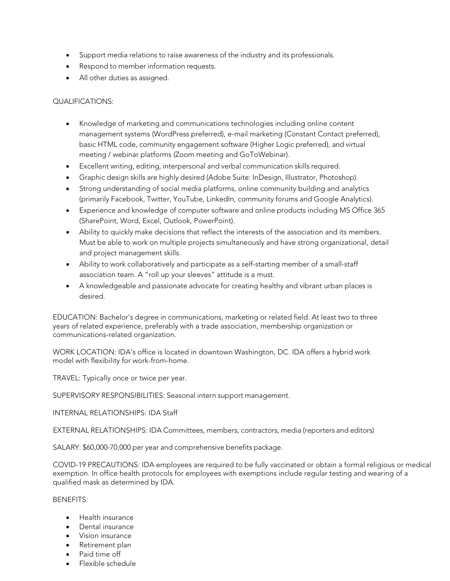- Support media relations to raise awareness of the industry and its professionals.
- Respond to member information requests.
- All other duties as assigned.

### QUALIFICATIONS:

- Knowledge of marketing and communications technologies including online content management systems (WordPress preferred), e-mail marketing (Constant Contact preferred), basic HTML code, community engagement software (Higher Logic preferred), and virtual meeting / webinar platforms (Zoom meeting and GoToWebinar).
- Excellent writing, editing, interpersonal and verbal communication skills required.
- Graphic design skills are highly desired (Adobe Suite: InDesign, Illustrator, Photoshop).
- Strong understanding of social media platforms, online community building and analytics (primarily Facebook, Twitter, YouTube, LinkedIn, community forums and Google Analytics).
- Experience and knowledge of computer software and online products including MS Office 365 (SharePoint, Word, Excel, Outlook, PowerPoint).
- Ability to quickly make decisions that reflect the interests of the association and its members. Must be able to work on multiple projects simultaneously and have strong organizational, detail and project management skills.
- Ability to work collaboratively and participate as a self-starting member of a small-staff association team. A "roll up your sleeves" attitude is a must.
- A knowledgeable and passionate advocate for creating healthy and vibrant urban places is desired.

EDUCATION: Bachelor's degree in communications, marketing or related field. At least two to three years of related experience, preferably with a trade association, membership organization or communications-related organization.

WORK LOCATION: IDA's office is located in downtown Washington, DC. IDA offers a hybrid work model with flexibility for work-from-home.

TRAVEL: Typically once or twice per year.

SUPERVISORY RESPONSIBILITIES: Seasonal intern support management.

INTERNAL RELATIONSHIPS: IDA Staff

EXTERNAL RELATIONSHIPS: IDA Committees, members, contractors, media (reporters and editors)

SALARY: \$60,000-70,000 per year and comprehensive benefits package.

COVID-19 PRECAUTIONS: IDA employees are required to be fully vaccinated or obtain a formal religious or medical exemption. In office health protocols for employees with exemptions include regular testing and wearing of a qualified mask as determined by IDA.

### BENEFITS:

- Health insurance
- Dental insurance
- Vision insurance
- Retirement plan
- Paid time off
- Flexible schedule